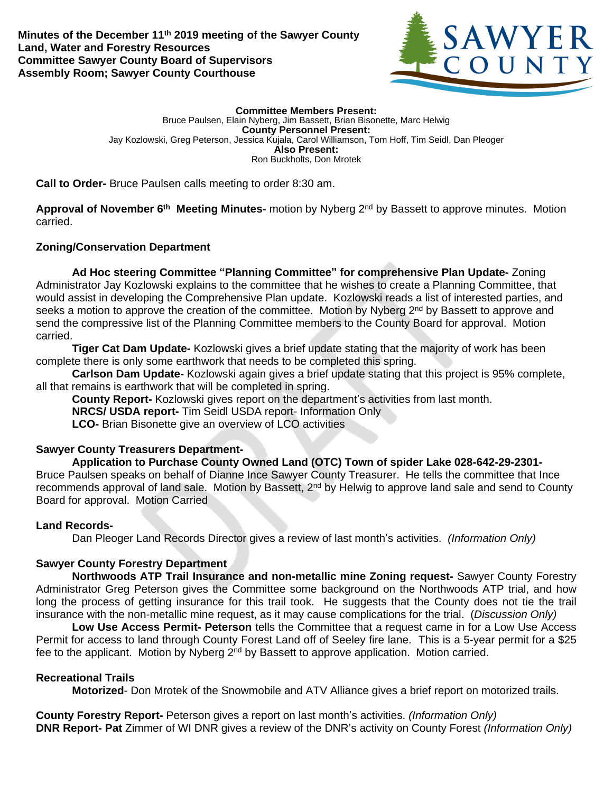**Minutes of the December 11th 2019 meeting of the Sawyer County Land, Water and Forestry Resources Committee Sawyer County Board of Supervisors Assembly Room; Sawyer County Courthouse**



**Committee Members Present:** Bruce Paulsen, Elain Nyberg, Jim Bassett, Brian Bisonette, Marc Helwig **County Personnel Present:** Jay Kozlowski, Greg Peterson, Jessica Kujala, Carol Williamson, Tom Hoff, Tim Seidl, Dan Pleoger **Also Present:** Ron Buckholts, Don Mrotek

**Call to Order-** Bruce Paulsen calls meeting to order 8:30 am.

**Approval of November 6th Meeting Minutes-** motion by Nyberg 2nd by Bassett to approve minutes. Motion carried.

# **Zoning/Conservation Department**

**Ad Hoc steering Committee "Planning Committee" for comprehensive Plan Update-** Zoning Administrator Jay Kozlowski explains to the committee that he wishes to create a Planning Committee, that would assist in developing the Comprehensive Plan update. Kozlowski reads a list of interested parties, and seeks a motion to approve the creation of the committee. Motion by Nyberg 2<sup>nd</sup> by Bassett to approve and send the compressive list of the Planning Committee members to the County Board for approval. Motion carried.

**Tiger Cat Dam Update-** Kozlowski gives a brief update stating that the majority of work has been complete there is only some earthwork that needs to be completed this spring.

**Carlson Dam Update-** Kozlowski again gives a brief update stating that this project is 95% complete, all that remains is earthwork that will be completed in spring.

**County Report-** Kozlowski gives report on the department's activities from last month.

**NRCS/ USDA report-** Tim Seidl USDA report- Information Only

**LCO-** Brian Bisonette give an overview of LCO activities

# **Sawyer County Treasurers Department-**

**Application to Purchase County Owned Land (OTC) Town of spider Lake 028-642-29-2301-** Bruce Paulsen speaks on behalf of Dianne Ince Sawyer County Treasurer. He tells the committee that Ince recommends approval of land sale. Motion by Bassett,  $2<sup>nd</sup>$  by Helwig to approve land sale and send to County Board for approval. Motion Carried

### **Land Records-**

Dan Pleoger Land Records Director gives a review of last month's activities. *(Information Only)*

# **Sawyer County Forestry Department**

**Northwoods ATP Trail Insurance and non-metallic mine Zoning request-** Sawyer County Forestry Administrator Greg Peterson gives the Committee some background on the Northwoods ATP trial, and how long the process of getting insurance for this trail took. He suggests that the County does not tie the trail insurance with the non-metallic mine request, as it may cause complications for the trial. (*Discussion Only)*

**Low Use Access Permit- Peterson** tells the Committee that a request came in for a Low Use Access Permit for access to land through County Forest Land off of Seeley fire lane. This is a 5-year permit for a \$25 fee to the applicant. Motion by Nyberg 2<sup>nd</sup> by Bassett to approve application. Motion carried.

### **Recreational Trails**

**Motorized**- Don Mrotek of the Snowmobile and ATV Alliance gives a brief report on motorized trails.

**County Forestry Report-** Peterson gives a report on last month's activities. *(Information Only)* **DNR Report- Pat** Zimmer of WI DNR gives a review of the DNR's activity on County Forest *(Information Only)*